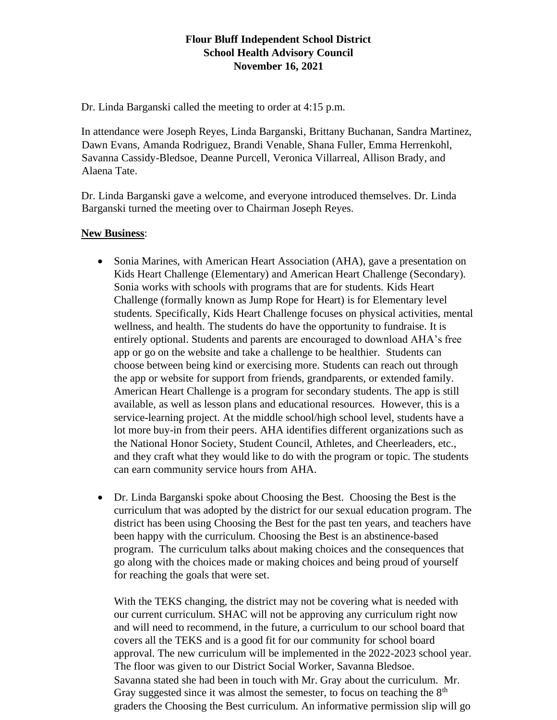# **Flour Bluff Independent School District School Health Advisory Council November 16, 2021**

Dr. Linda Barganski called the meeting to order at 4:15 p.m.

In attendance were Joseph Reyes, Linda Barganski, Brittany Buchanan, Sandra Martinez, Dawn Evans, Amanda Rodriguez, Brandi Venable, Shana Fuller, Emma Herrenkohl, Savanna Cassidy-Bledsoe, Deanne Purcell, Veronica Villarreal, Allison Brady, and Alaena Tate.

Dr. Linda Barganski gave a welcome, and everyone introduced themselves. Dr. Linda Barganski turned the meeting over to Chairman Joseph Reyes.

### **New Business**:

- Sonia Marines, with American Heart Association (AHA), gave a presentation on Kids Heart Challenge (Elementary) and American Heart Challenge (Secondary). Sonia works with schools with programs that are for students. Kids Heart Challenge (formally known as Jump Rope for Heart) is for Elementary level students. Specifically, Kids Heart Challenge focuses on physical activities, mental wellness, and health. The students do have the opportunity to fundraise. It is entirely optional. Students and parents are encouraged to download AHA's free app or go on the website and take a challenge to be healthier. Students can choose between being kind or exercising more. Students can reach out through the app or website for support from friends, grandparents, or extended family. American Heart Challenge is a program for secondary students. The app is still available, as well as lesson plans and educational resources. However, this is a service-learning project. At the middle school/high school level, students have a lot more buy-in from their peers. AHA identifies different organizations such as the National Honor Society, Student Council, Athletes, and Cheerleaders, etc., and they craft what they would like to do with the program or topic. The students can earn community service hours from AHA.
- Dr. Linda Barganski spoke about Choosing the Best. Choosing the Best is the curriculum that was adopted by the district for our sexual education program. The district has been using Choosing the Best for the past ten years, and teachers have been happy with the curriculum. Choosing the Best is an abstinence-based program. The curriculum talks about making choices and the consequences that go along with the choices made or making choices and being proud of yourself for reaching the goals that were set.

With the TEKS changing, the district may not be covering what is needed with our current curriculum. SHAC will not be approving any curriculum right now and will need to recommend, in the future, a curriculum to our school board that covers all the TEKS and is a good fit for our community for school board approval. The new curriculum will be implemented in the 2022-2023 school year. The floor was given to our District Social Worker, Savanna Bledsoe. Savanna stated she had been in touch with Mr. Gray about the curriculum. Mr. Gray suggested since it was almost the semester, to focus on teaching the  $8<sup>th</sup>$ graders the Choosing the Best curriculum. An informative permission slip will go